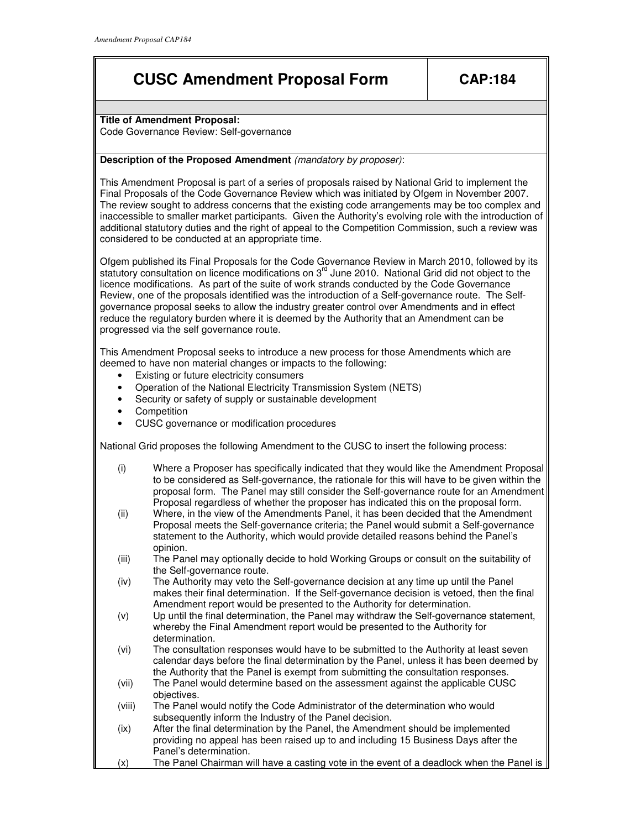## **CUSC Amendment Proposal Form CAP:184**

**Title of Amendment Proposal:** 

Code Governance Review: Self-governance

## **Description of the Proposed Amendment** (mandatory by proposer):

This Amendment Proposal is part of a series of proposals raised by National Grid to implement the Final Proposals of the Code Governance Review which was initiated by Ofgem in November 2007. The review sought to address concerns that the existing code arrangements may be too complex and inaccessible to smaller market participants. Given the Authority's evolving role with the introduction of additional statutory duties and the right of appeal to the Competition Commission, such a review was considered to be conducted at an appropriate time.

Ofgem published its Final Proposals for the Code Governance Review in March 2010, followed by its statutory consultation on licence modifications on 3<sup>rd</sup> June 2010. National Grid did not object to the licence modifications. As part of the suite of work strands conducted by the Code Governance Review, one of the proposals identified was the introduction of a Self-governance route. The Selfgovernance proposal seeks to allow the industry greater control over Amendments and in effect reduce the regulatory burden where it is deemed by the Authority that an Amendment can be progressed via the self governance route.

This Amendment Proposal seeks to introduce a new process for those Amendments which are deemed to have non material changes or impacts to the following:

- Existing or future electricity consumers
- Operation of the National Electricity Transmission System (NETS)
- Security or safety of supply or sustainable development
- Competition
- CUSC governance or modification procedures

National Grid proposes the following Amendment to the CUSC to insert the following process:

- (i) Where a Proposer has specifically indicated that they would like the Amendment Proposal to be considered as Self-governance, the rationale for this will have to be given within the proposal form. The Panel may still consider the Self-governance route for an Amendment Proposal regardless of whether the proposer has indicated this on the proposal form.
- (ii) Where, in the view of the Amendments Panel, it has been decided that the Amendment Proposal meets the Self-governance criteria; the Panel would submit a Self-governance statement to the Authority, which would provide detailed reasons behind the Panel's opinion.
- (iii) The Panel may optionally decide to hold Working Groups or consult on the suitability of the Self-governance route.
- (iv) The Authority may veto the Self-governance decision at any time up until the Panel makes their final determination. If the Self-governance decision is vetoed, then the final Amendment report would be presented to the Authority for determination.
- (v) Up until the final determination, the Panel may withdraw the Self-governance statement, whereby the Final Amendment report would be presented to the Authority for determination.
- (vi) The consultation responses would have to be submitted to the Authority at least seven calendar days before the final determination by the Panel, unless it has been deemed by the Authority that the Panel is exempt from submitting the consultation responses.
- (vii) The Panel would determine based on the assessment against the applicable CUSC objectives.
- (viii) The Panel would notify the Code Administrator of the determination who would subsequently inform the Industry of the Panel decision.
- (ix) After the final determination by the Panel, the Amendment should be implemented providing no appeal has been raised up to and including 15 Business Days after the Panel's determination.
- (x) The Panel Chairman will have a casting vote in the event of a deadlock when the Panel is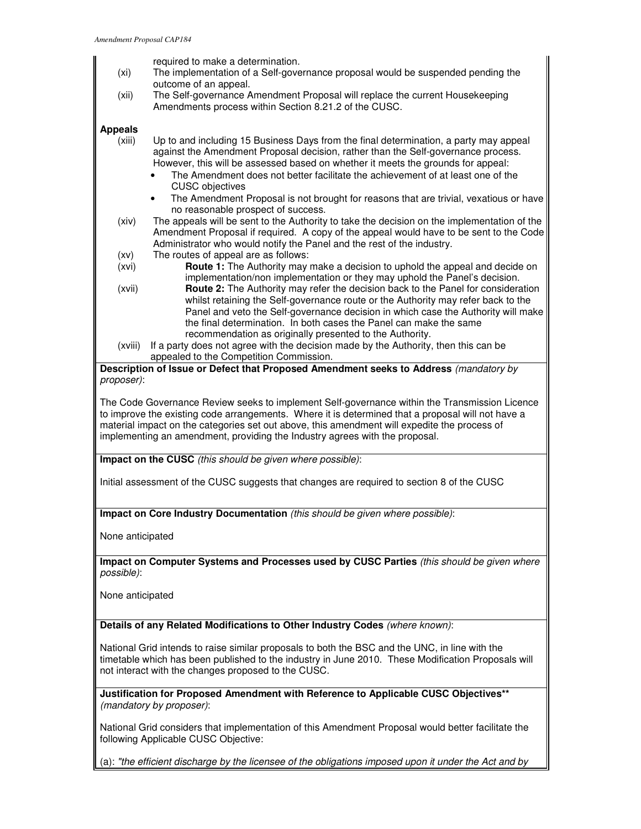required to make a determination.

- (xi) The implementation of a Self-governance proposal would be suspended pending the outcome of an appeal.
- (xii) The Self-governance Amendment Proposal will replace the current Housekeeping Amendments process within Section 8.21.2 of the CUSC.

## **Appeals**

- (xiii) Up to and including 15 Business Days from the final determination, a party may appeal against the Amendment Proposal decision, rather than the Self-governance process. However, this will be assessed based on whether it meets the grounds for appeal:
	- The Amendment does not better facilitate the achievement of at least one of the CUSC objectives
	- The Amendment Proposal is not brought for reasons that are trivial, vexatious or have no reasonable prospect of success.
- (xiv) The appeals will be sent to the Authority to take the decision on the implementation of the Amendment Proposal if required. A copy of the appeal would have to be sent to the Code Administrator who would notify the Panel and the rest of the industry.
- (xv) The routes of appeal are as follows:
- (xvi) **Route 1:** The Authority may make a decision to uphold the appeal and decide on implementation/non implementation or they may uphold the Panel's decision.
- (xvii) **Route 2:** The Authority may refer the decision back to the Panel for consideration whilst retaining the Self-governance route or the Authority may refer back to the Panel and veto the Self-governance decision in which case the Authority will make the final determination. In both cases the Panel can make the same recommendation as originally presented to the Authority.
- (xviii) If a party does not agree with the decision made by the Authority, then this can be appealed to the Competition Commission.

**Description of Issue or Defect that Proposed Amendment seeks to Address** (mandatory by proposer):

The Code Governance Review seeks to implement Self-governance within the Transmission Licence to improve the existing code arrangements. Where it is determined that a proposal will not have a material impact on the categories set out above, this amendment will expedite the process of implementing an amendment, providing the Industry agrees with the proposal.

**Impact on the CUSC** (this should be given where possible):

Initial assessment of the CUSC suggests that changes are required to section 8 of the CUSC

**Impact on Core Industry Documentation** (this should be given where possible):

None anticipated

**Impact on Computer Systems and Processes used by CUSC Parties** (this should be given where possible):

None anticipated

**Details of any Related Modifications to Other Industry Codes** (where known):

National Grid intends to raise similar proposals to both the BSC and the UNC, in line with the timetable which has been published to the industry in June 2010. These Modification Proposals will not interact with the changes proposed to the CUSC.

**Justification for Proposed Amendment with Reference to Applicable CUSC Objectives\*\***  (mandatory by proposer):

National Grid considers that implementation of this Amendment Proposal would better facilitate the following Applicable CUSC Objective:

(a): "the efficient discharge by the licensee of the obligations imposed upon it under the Act and by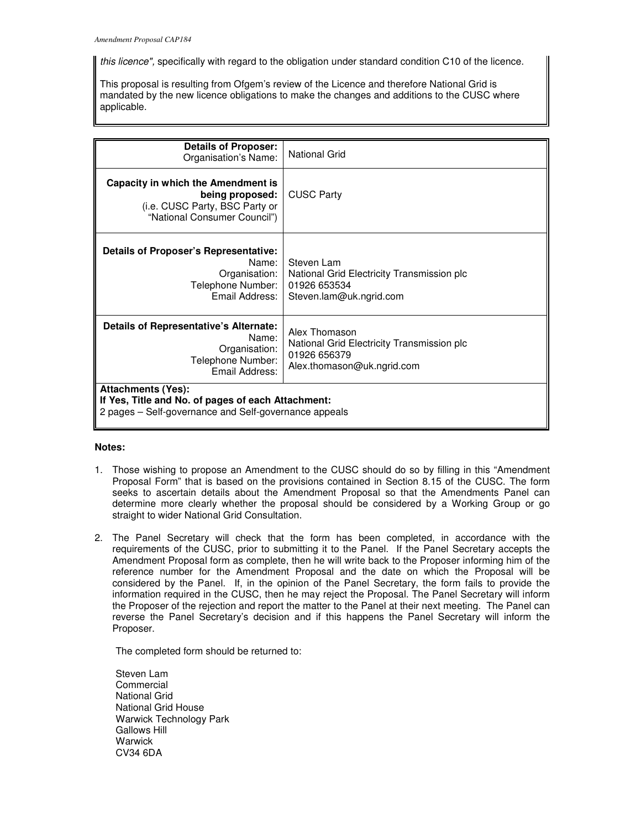this licence", specifically with regard to the obligation under standard condition C10 of the licence.

This proposal is resulting from Ofgem's review of the Licence and therefore National Grid is mandated by the new licence obligations to make the changes and additions to the CUSC where applicable.

| <b>Details of Proposer:</b><br>Organisation's Name:                                                                                      | <b>National Grid</b>                                                                                      |
|------------------------------------------------------------------------------------------------------------------------------------------|-----------------------------------------------------------------------------------------------------------|
| Capacity in which the Amendment is<br>being proposed:<br>(i.e. CUSC Party, BSC Party or<br>"National Consumer Council")                  | <b>CUSC Party</b>                                                                                         |
| Details of Proposer's Representative:<br>Name:<br>Organisation:<br>Telephone Number:<br>Email Address:                                   | Steven Lam<br>National Grid Electricity Transmission plc<br>01926 653534<br>Steven.lam@uk.ngrid.com       |
| Details of Representative's Alternate:<br>Name:<br>Organisation:<br>Telephone Number:<br>Email Address:                                  | Alex Thomason<br>National Grid Electricity Transmission plc<br>01926 656379<br>Alex.thomason@uk.ngrid.com |
| <b>Attachments (Yes):</b><br>If Yes, Title and No. of pages of each Attachment:<br>2 pages - Self-governance and Self-governance appeals |                                                                                                           |

## **Notes:**

- 1. Those wishing to propose an Amendment to the CUSC should do so by filling in this "Amendment Proposal Form" that is based on the provisions contained in Section 8.15 of the CUSC. The form seeks to ascertain details about the Amendment Proposal so that the Amendments Panel can determine more clearly whether the proposal should be considered by a Working Group or go straight to wider National Grid Consultation.
- 2. The Panel Secretary will check that the form has been completed, in accordance with the requirements of the CUSC, prior to submitting it to the Panel. If the Panel Secretary accepts the Amendment Proposal form as complete, then he will write back to the Proposer informing him of the reference number for the Amendment Proposal and the date on which the Proposal will be considered by the Panel. If, in the opinion of the Panel Secretary, the form fails to provide the information required in the CUSC, then he may reject the Proposal. The Panel Secretary will inform the Proposer of the rejection and report the matter to the Panel at their next meeting. The Panel can reverse the Panel Secretary's decision and if this happens the Panel Secretary will inform the Proposer.

The completed form should be returned to:

Steven Lam **Commercial** National Grid National Grid House Warwick Technology Park Gallows Hill Warwick CV34 6DA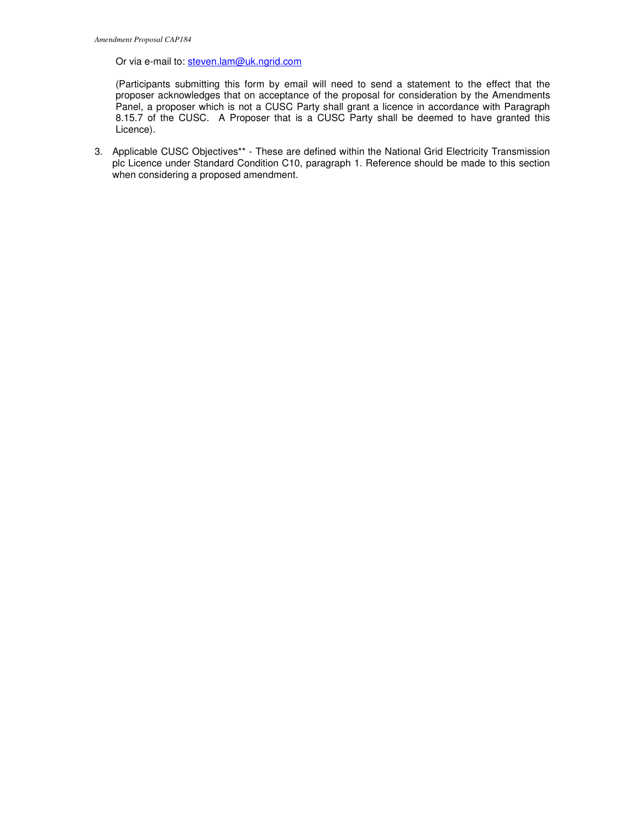Or via e-mail to: steven.lam@uk.ngrid.com

(Participants submitting this form by email will need to send a statement to the effect that the proposer acknowledges that on acceptance of the proposal for consideration by the Amendments Panel, a proposer which is not a CUSC Party shall grant a licence in accordance with Paragraph 8.15.7 of the CUSC. A Proposer that is a CUSC Party shall be deemed to have granted this Licence).

3. Applicable CUSC Objectives\*\* - These are defined within the National Grid Electricity Transmission plc Licence under Standard Condition C10, paragraph 1. Reference should be made to this section when considering a proposed amendment.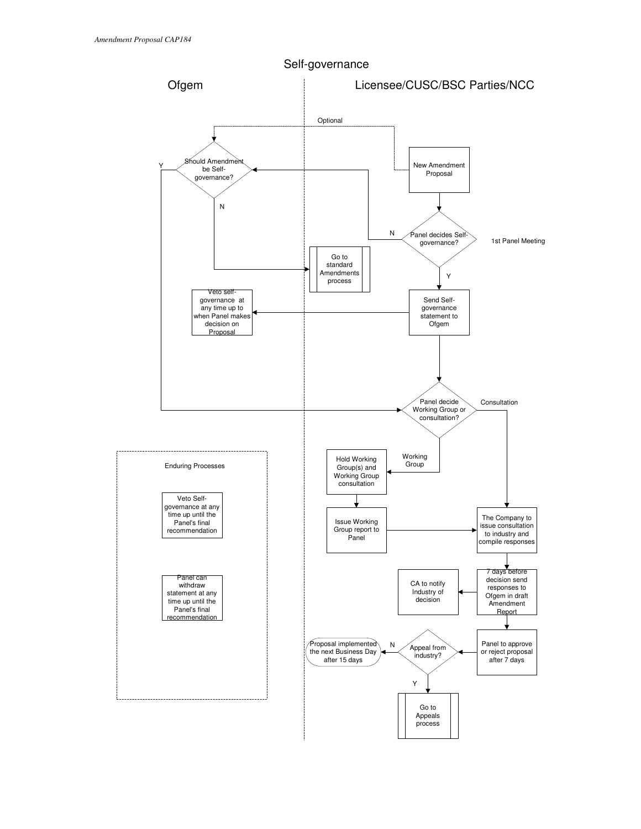

Self-governance